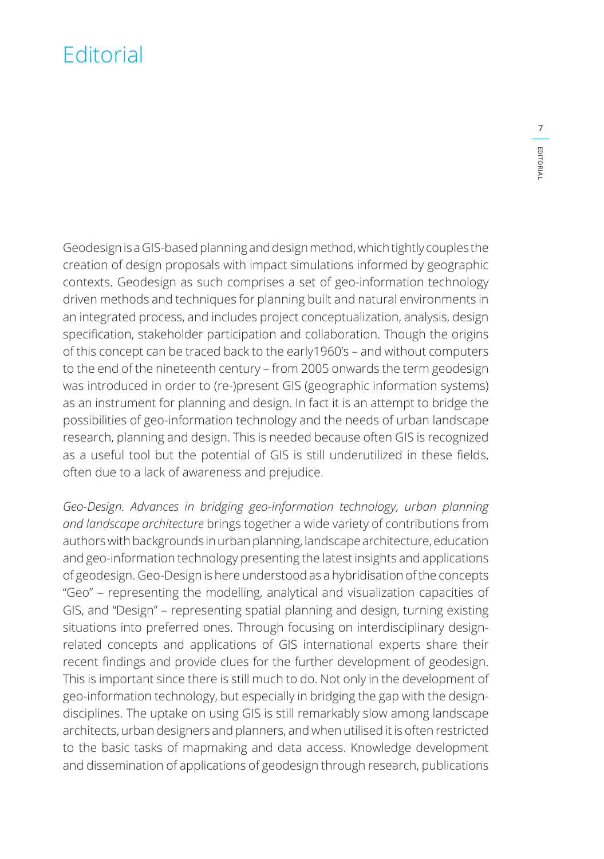## **Editorial**

Geodesign is a GIS-based planning and design method, which tightly couples the creation of design proposals with impact simulations informed by geographic contexts. Geodesign as such comprises a set of geo-information technology driven methods and techniques for planning built and natural environments in an integrated process, and includes project conceptualization, analysis, design specification, stakeholder participation and collaboration. Though the origins of this concept can be traced back to the early1960's – and without computers to the end of the nineteenth century – from 2005 onwards the term geodesign was introduced in order to (re-)present GIS (geographic information systems) as an instrument for planning and design. In fact it is an attempt to bridge the possibilities of geo-information technology and the needs of urban landscape research, planning and design. This is needed because often GIS is recognized as a useful tool but the potential of GIS is still underutilized in these fields, often due to a lack of awareness and prejudice.

*Geo-Design. Advances in bridging geo-information technology, urban planning and landscape architecture* brings together a wide variety of contributions from authors with backgrounds in urban planning, landscape architecture, education and geo-information technology presenting the latest insights and applications of geodesign. Geo-Design is here understood as a hybridisation of the concepts "Geo" – representing the modelling, analytical and visualization capacities of GIS, and "Design" – representing spatial planning and design, turning existing situations into preferred ones. Through focusing on interdisciplinary designrelated concepts and applications of GIS international experts share their recent findings and provide clues for the further development of geodesign. This is important since there is still much to do. Not only in the development of geo-information technology, but especially in bridging the gap with the designdisciplines. The uptake on using GIS is still remarkably slow among landscape architects, urban designers and planners, and when utilised it is often restricted to the basic tasks of mapmaking and data access. Knowledge development and dissemination of applications of geodesign through research, publications